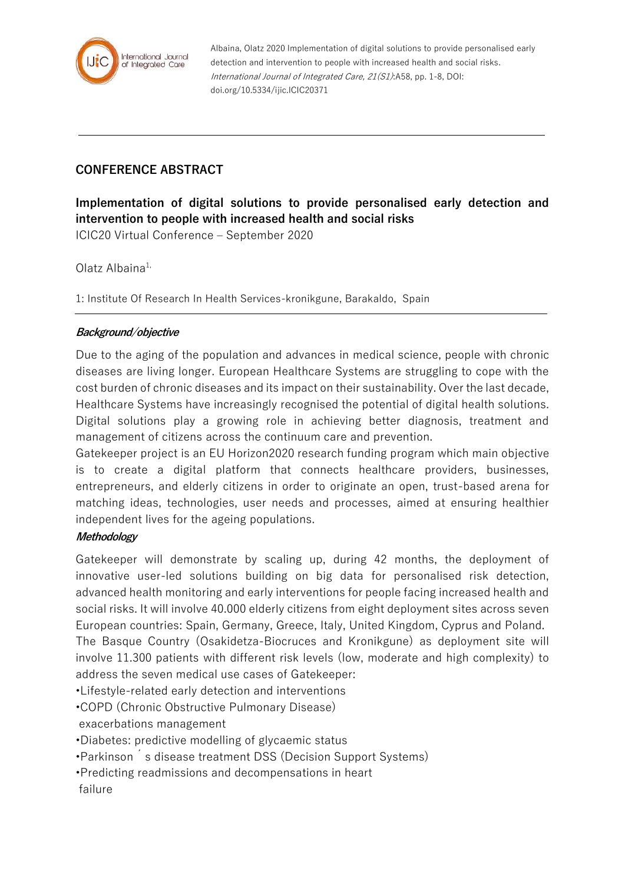

Albaina, Olatz 2020 Implementation of digital solutions to provide personalised early detection and intervention to people with increased health and social risks. International Journal of Integrated Care, 21(S1):A58, pp. 1-8, DOI: doi.org/10.5334/ijic.ICIC20371

## **CONFERENCE ABSTRACT**

**Implementation of digital solutions to provide personalised early detection and intervention to people with increased health and social risks**

ICIC20 Virtual Conference – September 2020

Olatz Albaina $1$ ,

1: Institute Of Research In Health Services-kronikgune, Barakaldo, Spain

## **Background/objective**

Due to the aging of the population and advances in medical science, people with chronic diseases are living longer. European Healthcare Systems are struggling to cope with the cost burden of chronic diseases and its impact on their sustainability. Over the last decade, Healthcare Systems have increasingly recognised the potential of digital health solutions. Digital solutions play a growing role in achieving better diagnosis, treatment and management of citizens across the continuum care and prevention.

Gatekeeper project is an EU Horizon2020 research funding program which main objective is to create a digital platform that connects healthcare providers, businesses, entrepreneurs, and elderly citizens in order to originate an open, trust-based arena for matching ideas, technologies, user needs and processes, aimed at ensuring healthier independent lives for the ageing populations.

## **Methodology**

Gatekeeper will demonstrate by scaling up, during 42 months, the deployment of innovative user-led solutions building on big data for personalised risk detection, advanced health monitoring and early interventions for people facing increased health and social risks. It will involve 40.000 elderly citizens from eight deployment sites across seven European countries: Spain, Germany, Greece, Italy, United Kingdom, Cyprus and Poland. The Basque Country (Osakidetza-Biocruces and Kronikgune) as deployment site will involve 11.300 patients with different risk levels (low, moderate and high complexity) to address the seven medical use cases of Gatekeeper:

•Lifestyle-related early detection and interventions

•COPD (Chronic Obstructive Pulmonary Disease)

exacerbations management

•Diabetes: predictive modelling of glycaemic status

•Parkinson´s disease treatment DSS (Decision Support Systems)

•Predicting readmissions and decompensations in heart

failure